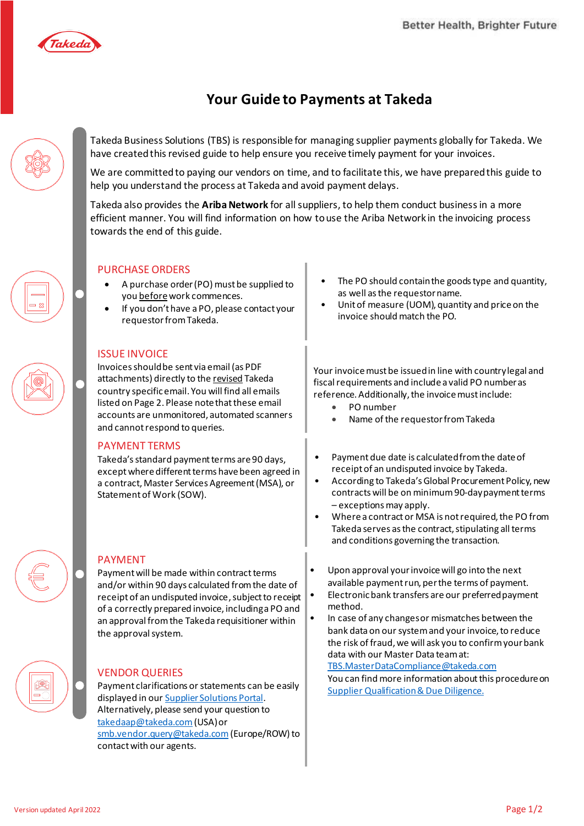

## **Your Guide to Payments at Takeda**

Takeda Business Solutions (TBS) is responsible for managing supplier payments globally for Takeda. We have created this revised guide to help ensure you receive timely payment for your invoices.

We are committed to paying our vendors on time, and to facilitate this, we have prepared this guide to help you understand the process at Takeda and avoid payment delays.

Takeda also provides the **Ariba Network** for all suppliers, to help them conduct business in a more efficient manner. You will find information on how to use the Ariba Network in the invoicing process towards the end of this guide.



#### PURCHASE ORDERS

- A purchase order (PO) must be supplied to you before work commences.
- If you don't have a PO, please contact your requestor from Takeda.

#### ISSUE INVOICE

Invoices should be sent via email (as PDF attachments) directly to the revised Takeda country specific email. You will find all emails listed on Page 2. Please note that these email accounts are unmonitored, automated scanners and cannot respond to queries.

#### PAYMENT TERMS

Takeda's standard payment terms are 90 days, except where different terms have been agreed in a contract, Master Services Agreement (MSA), or Statement of Work (SOW).

### PAYMENT

Payment will be made within contract terms and/or within 90 days calculated from the date of receipt of an undisputed invoice, subject to receipt of a correctly prepared invoice, including a PO and an approval from the Takeda requisitioner within the approval system.

#### VENDOR QUERIES

Payment clarifications or statements can be easily displayed in ou[r Supplier Solutions Portal](https://takedadev.service-now.com/supplier). Alternatively, please send your question to [takedaap@takeda.com](mailto:takedaap@takeda.com)(USA) or [smb.vendor.query@takeda.com](mailto:smb.vendor.query@takeda.com) (Europe/ROW) to contact with our agents.

- The PO should contain the goods type and quantity, as well as the requestor name.
- Unit of measure (UOM), quantity and price on the invoice should match the PO.

Your invoice must be issued in line with country legal and fiscal requirements and include a valid PO number as reference. Additionally, the invoice must include:

- PO number
- Name of the requestor from Takeda
- Payment due date is calculated from the date of receipt of an undisputed invoice by Takeda.
- According to Takeda's Global Procurement Policy, new contracts will be on minimum90-day payment terms – exceptions may apply.
- Where a contract or MSA is not required, the PO from Takeda serves as the contract, stipulating all terms and conditions governing the transaction.
- Upon approval your invoice will go into the next available payment run, per the terms of payment.
- Electronic bank transfers are our preferred payment method.
- In case of any changes or mismatches between the bank data on our system and your invoice, to reduce the risk of fraud, we will ask you to confirm your bank data with our Master Data team at: TBS.MasterDataCompliance@takeda.com You can find more information about this procedure on [Supplier Qualification & Due Diligence](https://www.takeda.com/what-we-do/suppliers/Supplier-Qualification-and-Due-Diligence/).